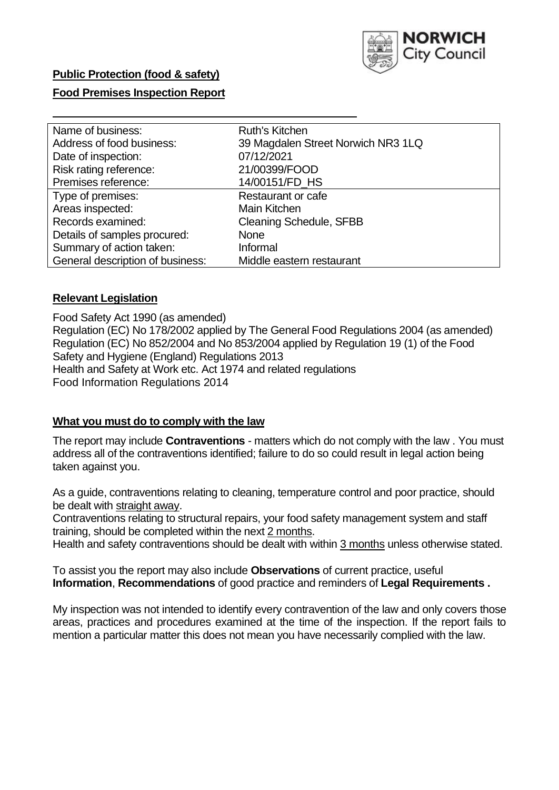

### **Public Protection (food & safety)**

### **Food Premises Inspection Report**

| Name of business:                | Ruth's Kitchen                     |
|----------------------------------|------------------------------------|
| Address of food business:        | 39 Magdalen Street Norwich NR3 1LQ |
| Date of inspection:              | 07/12/2021                         |
| Risk rating reference:           | 21/00399/FOOD                      |
| Premises reference:              | 14/00151/FD HS                     |
| Type of premises:                | Restaurant or cafe                 |
| Areas inspected:                 | Main Kitchen                       |
| Records examined:                | <b>Cleaning Schedule, SFBB</b>     |
| Details of samples procured:     | <b>None</b>                        |
| Summary of action taken:         | Informal                           |
| General description of business: | Middle eastern restaurant          |

#### **Relevant Legislation**

 Food Safety Act 1990 (as amended) Regulation (EC) No 178/2002 applied by The General Food Regulations 2004 (as amended) Regulation (EC) No 852/2004 and No 853/2004 applied by Regulation 19 (1) of the Food Safety and Hygiene (England) Regulations 2013 Health and Safety at Work etc. Act 1974 and related regulations Food Information Regulations 2014

#### **What you must do to comply with the law**

 The report may include **Contraventions** - matters which do not comply with the law . You must address all of the contraventions identified; failure to do so could result in legal action being taken against you.

 As a guide, contraventions relating to cleaning, temperature control and poor practice, should be dealt with straight away.

 Contraventions relating to structural repairs, your food safety management system and staff training, should be completed within the next 2 months.

Health and safety contraventions should be dealt with within 3 months unless otherwise stated.

 To assist you the report may also include **Observations** of current practice, useful **Information**, **Recommendations** of good practice and reminders of **Legal Requirements .** 

 My inspection was not intended to identify every contravention of the law and only covers those areas, practices and procedures examined at the time of the inspection. If the report fails to mention a particular matter this does not mean you have necessarily complied with the law.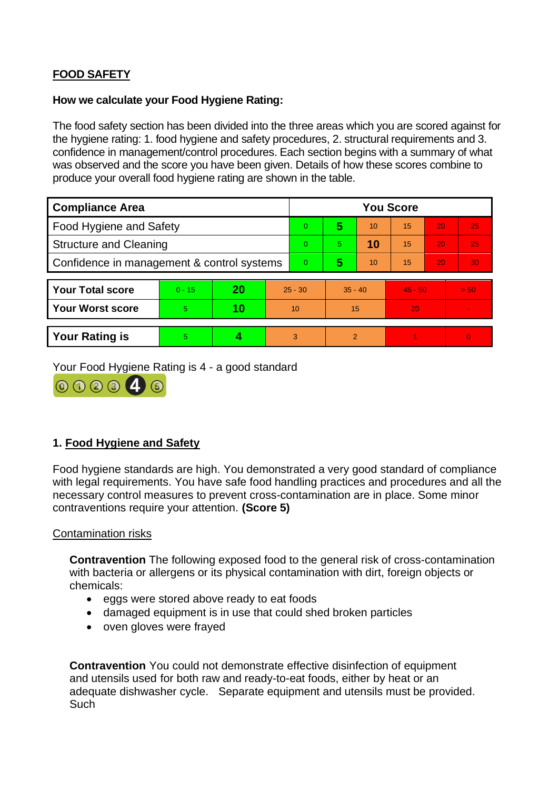# **FOOD SAFETY**

### **How we calculate your Food Hygiene Rating:**

 The food safety section has been divided into the three areas which you are scored against for the hygiene rating: 1. food hygiene and safety procedures, 2. structural requirements and 3. confidence in management/control procedures. Each section begins with a summary of what was observed and the score you have been given. Details of how these scores combine to produce your overall food hygiene rating are shown in the table.

| <b>Compliance Area</b>                     |          |    |           | <b>You Score</b> |                |    |                 |    |          |  |  |
|--------------------------------------------|----------|----|-----------|------------------|----------------|----|-----------------|----|----------|--|--|
| Food Hygiene and Safety                    |          |    |           | $\overline{0}$   | 5              | 10 | $\overline{15}$ | 20 | 25       |  |  |
| <b>Structure and Cleaning</b>              |          |    | $\Omega$  | 5                | 10             | 15 | 20              | 25 |          |  |  |
| Confidence in management & control systems |          |    | $\Omega$  | 5                | 10             | 15 | 20              | 30 |          |  |  |
|                                            |          |    |           |                  |                |    |                 |    |          |  |  |
| <b>Your Total score</b>                    | $0 - 15$ | 20 | $25 - 30$ |                  | $35 - 40$      |    | $45 - 50$       |    | > 50     |  |  |
| <b>Your Worst score</b>                    | 5        | 10 | 10        |                  | 15             |    | 20              |    |          |  |  |
|                                            |          |    |           |                  |                |    |                 |    |          |  |  |
| <b>Your Rating is</b>                      | 5        |    |           | 3                | $\overline{2}$ |    |                 |    | $\Omega$ |  |  |

Your Food Hygiene Rating is 4 - a good standard



## **1. Food Hygiene and Safety**

 with legal requirements. You have safe food handling practices and procedures and all the Food hygiene standards are high. You demonstrated a very good standard of compliance necessary control measures to prevent cross-contamination are in place. Some minor contraventions require your attention. **(Score 5)** 

### Contamination risks

 with bacteria or allergens or its physical contamination with dirt, foreign objects or **Contravention** The following exposed food to the general risk of cross-contamination chemicals:

- eggs were stored above ready to eat foods
- damaged equipment is in use that could shed broken particles
- oven gloves were frayed

**Contravention** You could not demonstrate effective disinfection of equipment and utensils used for both raw and ready-to-eat foods, either by heat or an adequate dishwasher cycle. Separate equipment and utensils must be provided. **Such**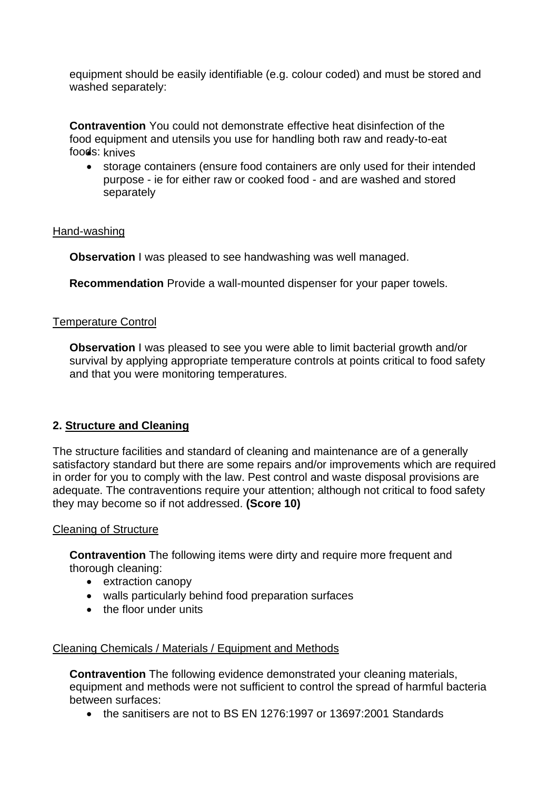equipment should be easily identifiable (e.g. colour coded) and must be stored and washed separately:

 **Contravention** You could not demonstrate effective heat disinfection of the food equipment and utensils you use for handling both raw and ready-to-eat foods: knives

• storage containers (ensure food containers are only used for their intended purpose - ie for either raw or cooked food - and are washed and stored separately

### Hand-washing

**Observation** I was pleased to see handwashing was well managed.

**Recommendation** Provide a wall-mounted dispenser for your paper towels.

#### Temperature Control

**Observation** I was pleased to see you were able to limit bacterial growth and/or survival by applying appropriate temperature controls at points critical to food safety and that you were monitoring temperatures.

### **2. Structure and Cleaning**

 satisfactory standard but there are some repairs and/or improvements which are required The structure facilities and standard of cleaning and maintenance are of a generally in order for you to comply with the law. Pest control and waste disposal provisions are adequate. The contraventions require your attention; although not critical to food safety they may become so if not addressed. **(Score 10)** 

#### Cleaning of Structure

**Contravention** The following items were dirty and require more frequent and thorough cleaning:

- extraction canopy
- walls particularly behind food preparation surfaces
- the floor under units

### Cleaning Chemicals / Materials / Equipment and Methods

**Contravention** The following evidence demonstrated your cleaning materials, equipment and methods were not sufficient to control the spread of harmful bacteria between surfaces:

• the sanitisers are not to BS EN 1276:1997 or 13697:2001 Standards